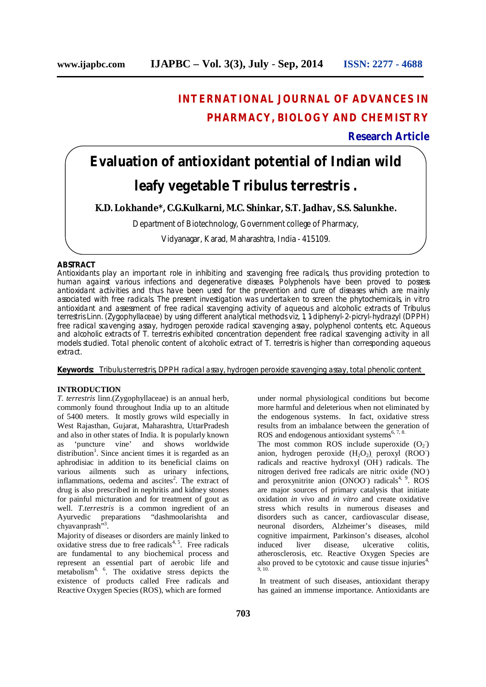## **INTERNATIONAL JOURNAL OF ADVANCES IN PHARMACY, BIOLOGY AND CHEMISTRY**

**Research Article**

# **Evaluation of antioxidant potential of Indian wild leafy vegetable** *Tribulus terrestris* **.**

**K.D. Lokhande\*, C.G.Kulkarni, M.C. Shinkar, S.T. Jadhav, S.S. Salunkhe.**

Department of Biotechnology, Government college of Pharmacy,

Vidyanagar, Karad, Maharashtra, India - 415109.

## **ABSTRACT**

Antioxidants play an important role in inhibiting and scavenging free radicals, thus providing protection to human against various infections and degenerative diseases. Polyphenols have been proved to possess antioxidant activities and thus have been used for the prevention and cure of diseases which are mainly associated with free radicals. The present investigation was undertaken to screen the phytochemicals, *in vitro* antioxidant and assessment of free radical scavenging activity of aqueous and alcoholic extracts of *Tribulus terrestris* Linn. (Zygophyllaceae) by using different analytical methods viz, 1, 1-diphenyl-2-picryl-hydrazyl (DPPH) free radical scavenging assay, hydrogen peroxide radical scavenging assay, polyphenol contents, etc. Aqueous and alcoholic extracts of *T. terrestris* exhibited concentration dependent free radical scavenging activity in all models studied. Total phenolic content of alcoholic extract of *T. terrestris* is higher than corresponding aqueous extract.

**Keywords:** *Tribulus terrestris,* DPPH radical assay, hydrogen peroxide scavenging assay, total phenolic content

## **INTRODUCTION**

*T. terrestris* linn.(Zygophyllaceae) is an annual herb, commonly found throughout India up to an altitude of 5400 meters. It mostly grows wild especially in West Rajasthan, Gujarat, Maharashtra, UttarPradesh and also in other states of India. It is popularly known as 'puncture vine' and shows worldwide distribution<sup>1</sup>. Since ancient times it is regarded as an aphrodisiac in addition to its beneficial claims on various ailments such as urinary infections, inflammations, oedema and ascites 2 . The extract of drug is also prescribed in nephritis and kidney stones for painful micturation and for treatment of gout as well. *T.terrestris* is a common ingredient of an Ayurvedic preparations "dashmoolarishta and chyavanprash"<sup>3</sup>.

Majority of diseases or disorders are mainly linked to oxidative stress due to free radicals<sup>4, 5</sup>. Free radicals are fundamental to any biochemical process and represent an essential part of aerobic life and metabolism<sup>4, 6</sup>. The oxidative stress depicts the existence of products called Free radicals and Reactive Oxygen Species (ROS), which are formed

under normal physiological conditions but become more harmful and deleterious when not eliminated by the endogenous systems. In fact, oxidative stress results from an imbalance between the generation of ROS and endogenous antioxidant systems $^{6, 7, 8}$ .

The most common ROS include superoxide  $(O_2)$ anion, hydrogen peroxide  $(H_2O_2)$ , peroxyl  $(ROO)$ radicals and reactive hydroxyl (OH) radicals. The nitrogen derived free radicals are nitric oxide (NO . ) and peroxynitrite anion (ONOO ) radicals<sup>4, 9</sup>. ROS are major sources of primary catalysis that initiate oxidation *in vivo* and *in vitro* and create oxidative stress which results in numerous diseases and disorders such as cancer, cardiovascular disease, neuronal disorders, Alzheimer's diseases, mild cognitive impairment, Parkinson's diseases, alcohol induced liver disease, ulcerative colitis, atherosclerosis, etc. Reactive Oxygen Species are also proved to be cytotoxic and cause tissue injuries<sup>4,</sup> 9, 10.

In treatment of such diseases, antioxidant therapy has gained an immense importance. Antioxidants are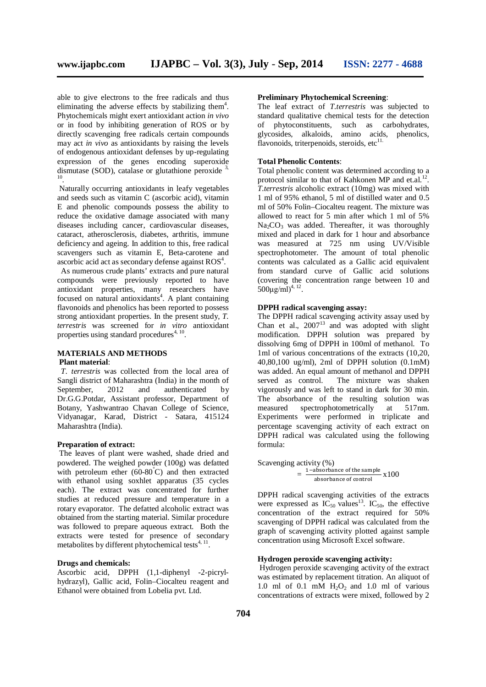able to give electrons to the free radicals and thus eliminating the adverse effects by stabilizing them<sup>4</sup>. Phytochemicals might exert antioxidant action *in vivo* or in food by inhibiting generation of ROS or by directly scavenging free radicals certain compounds may act *in vivo* as antioxidants by raising the levels of endogenous antioxidant defenses by up-regulating expression of the genes encoding superoxide dismutase (SOD), catalase or glutathione peroxide  $3$ , 10 .

Naturally occurring antioxidants in leafy vegetables and seeds such as vitamin C (ascorbic acid), vitamin E and phenolic compounds possess the ability to reduce the oxidative damage associated with many diseases including cancer, cardiovascular diseases, cataract, atherosclerosis, diabetes, arthritis, immune deficiency and ageing. In addition to this, free radical scavengers such as vitamin E, Beta-carotene and ascorbic acid act as secondary defense against ROS<sup>4</sup>.

As numerous crude plants' extracts and pure natural compounds were previously reported to have antioxidant properties, many researchers have focused on natural antioxidants 4 . A plant containing flavonoids and phenolics has been reported to possess strong antioxidant properties. In the present study, *T. terrestris* was screened for *in vitro* antioxidant properties using standard procedures<sup>4, 10</sup>.

## **MATERIALS AND METHODS**

## **Plant material**:

*T. terrestris* was collected from the local area of Sangli district of Maharashtra (India) in the month of<br>September. 2012 and authenticated by September, 2012 and authenticated by Dr.G.G.Potdar, Assistant professor, Department of Botany, Yashwantrao Chavan College of Science, Vidyanagar, Karad, District - Satara, 415124 Maharashtra (India).

## **Preparation of extract:**

The leaves of plant were washed, shade dried and powdered. The weighed powder (100g) was defatted with petroleum ether  $(60-80^{\circ}C)$  and then extracted with ethanol using soxhlet apparatus (35 cycles each). The extract was concentrated for further studies at reduced pressure and temperature in a rotary evaporator. The defatted alcoholic extract was obtained from the starting material. Similar procedure was followed to prepare aqueous extract. Both the extracts were tested for presence of secondary metabolites by different phytochemical tests<sup>4, 11</sup>.

#### **Drugs and chemicals:**

Ascorbic acid, DPPH (1,1-diphenyl -2-picrylhydrazyl), Gallic acid, Folin–Ciocalteu reagent and Ethanol were obtained from Lobelia pvt. Ltd.

#### **Preliminary Phytochemical Screening**:

The leaf extract of *T.terrestris* was subjected to standard qualitative chemical tests for the detection of phytoconstituents, such as carbohydrates, <br>glycosides, alkaloids, amino acids, phenolics, glycosides, alkaloids, amino acids, flavonoids, triterpenoids, steroids, etc<sup>11.</sup>

## **Total Phenolic Contents**:

Total phenolic content was determined according to a protocol similar to that of Kahkonen MP and et.al.<sup>12</sup>. *T.terrestris* alcoholic extract (10mg) was mixed with 1 ml of 95% ethanol, 5 ml of distilled water and 0.5 ml of 50% Folin–Ciocalteu reagent. The mixture was allowed to react for 5 min after which 1 ml of 5%  $Na<sub>2</sub>CO<sub>3</sub>$  was added. Thereafter, it was thoroughly mixed and placed in dark for 1 hour and absorbance was measured at 725 nm using UV/Visible spectrophotometer. The amount of total phenolic contents was calculated as a Gallic acid equivalent from standard curve of Gallic acid solutions (covering the concentration range between 10 and  $500 \mu\text{g/ml}^{4,12}$ .

## **DPPH radical scavenging assay:**

The DPPH radical scavenging activity assay used by Chan et al., 2007<sup>13</sup> and was adopted with slight modification. DPPH solution was prepared by dissolving 6mg of DPPH in 100ml of methanol. To 1ml of various concentrations of the extracts (10,20, 40,80,100 ug/ml), 2ml of DPPH solution (0.1mM) was added. An equal amount of methanol and DPPH served as control. The mixture was shaken vigorously and was left to stand in dark for 30 min. The absorbance of the resulting solution was<br>measured spectrophotometrically at 517pm. spectrophotometrically Experiments were performed in triplicate and percentage scavenging activity of each extract on DPPH radical was calculated using the following formula:

Scavenging activity (%)  $=\frac{1-\text{absorbane of the sample}}{1-\text{absorbrane of central}} \times 100$ absorbance of control

DPPH radical scavenging activities of the extracts were expressed as  $IC_{50}$  values<sup>13</sup>. IC<sub>50</sub>, the effective concentration of the extract required for 50% scavenging of DPPH radical was calculated from the graph of scavenging activity plotted against sample concentration using Microsoft Excel software.

## **Hydrogen peroxide scavenging activity:**

Hydrogen peroxide scavenging activity of the extract was estimated by replacement titration. An aliquot of 1.0 ml of 0.1 mM  $H_2O_2$  and 1.0 ml of various concentrations of extracts were mixed, followed by 2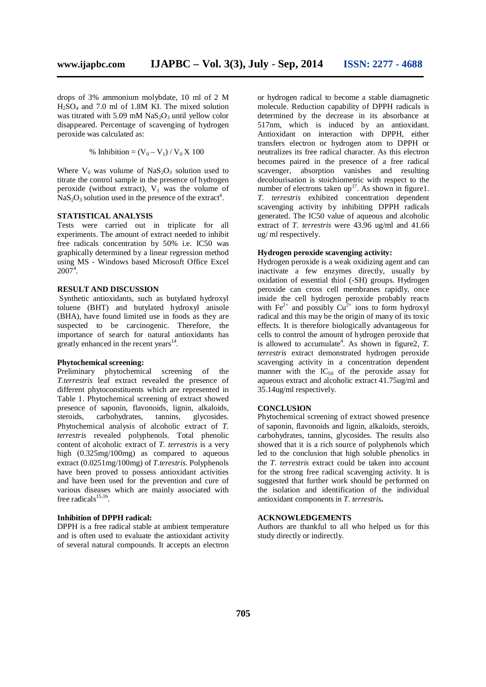drops of 3% ammonium molybdate, 10 ml of 2 M  $H_2SO_4$  and 7.0 ml of 1.8M KI. The mixed solution was titrated with  $5.09$  mM NaS<sub>2</sub>O<sub>3</sub> until yellow color disappeared. Percentage of scavenging of hydrogen peroxide was calculated as:

% Inhibition =  $(V_0 - V_1) / V_0 X 100$ 

Where  $V_0$  was volume of  $NaS_2O_3$  solution used to titrate the control sample in the presence of hydrogen peroxide (without extract),  $V_1$  was the volume of  $NaS_2O_3$  solution used in the presence of the extract<sup>4</sup>.

## **STATISTICAL ANALYSIS**

Tests were carried out in triplicate for all experiments. The amount of extract needed to inhibit free radicals concentration by 50% i.e. IC50 was graphically determined by a linear regression method using MS - Windows based Microsoft Office Excel  $2007^4$ .

#### **RESULT AND DISCUSSION**

Synthetic antioxidants, such as butylated hydroxyl toluene (BHT) and butylated hydroxyl anisole (BHA), have found limited use in foods as they are suspected to be carcinogenic. Therefore, the importance of search for natural antioxidants has greatly enhanced in the recent years<sup>14</sup>.

#### **Phytochemical screening:**

Preliminary phytochemical screening of the *T.terrestris* leaf extract revealed the presence of different phytoconstituents which are represented in Table 1. Phytochemical screening of extract showed presence of saponin, flavonoids, lignin, alkaloids, steroids. carbohydrates. tannins. glycosides. carbohydrates, tannins, glycosides. Phytochemical analysis of alcoholic extract of *T. terrestris* revealed polyphenols. Total phenolic content of alcoholic extract of *T. terrestris* is a very high (0.325mg/100mg) as compared to aqueous extract (0.0251mg/100mg) of *T.terestris*. Polyphenols have been proved to possess antioxidant activities and have been used for the prevention and cure of various diseases which are mainly associated with free radicals<sup>15,16</sup>.

#### **Inhibition of DPPH radical:**

DPPH is a free radical stable at ambient temperature and is often used to evaluate the antioxidant activity of several natural compounds. It accepts an electron or hydrogen radical to become a stable diamagnetic molecule. Reduction capability of DPPH radicals is determined by the decrease in its absorbance at 517nm, which is induced by an antioxidant. Antioxidant on interaction with DPPH, either transfers electron or hydrogen atom to DPPH or neutralizes its free radical character. As this electron becomes paired in the presence of a free radical scavenger, absorption vanishes and resulting decolourisation is stoichiometric with respect to the number of electrons taken up<sup>17</sup>. As shown in figure1. *T. terrestris* exhibited concentration dependent scavenging activity by inhibiting DPPH radicals generated. The IC50 value of aqueous and alcoholic extract of *T. terrestris* were 43.96 ug/ml and 41.66 ug/ ml respectively.

## **Hydrogen peroxide scavenging activity:**

Hydrogen peroxide is a weak oxidizing agent and can inactivate a few enzymes directly, usually by oxidation of essential thiol (-SH) groups. Hydrogen peroxide can cross cell membranes rapidly, once inside the cell hydrogen peroxide probably reacts with  $Fe^{2+}$  and possibly  $Cu^{2+}$  ions to form hydroxyl radical and this may be the origin of many of its toxic effects. It is therefore biologically advantageous for cells to control the amount of hydrogen peroxide that is allowed to accumulate 4 . As shown in figure2, *T. terrestris* extract demonstrated hydrogen peroxide scavenging activity in a concentration dependent manner with the  $IC_{50}$  of the peroxide assay for aqueous extract and alcoholic extract 41.75ug/ml and 35.14ug/ml respectively.

#### **CONCLUSION**

Phytochemical screening of extract showed presence of saponin, flavonoids and lignin, alkaloids, steroids, carbohydrates, tannins, glycosides. The results also showed that it is a rich source of polyphenols which led to the conclusion that high soluble phenolics in the *T. terrestris* extract could be taken into account for the strong free radical scavenging activity. It is suggested that further work should be performed on the isolation and identification of the individual antioxidant components in *T*. *terrestris.*

## **ACKNOWLEDGEMENTS**

Authors are thankful to all who helped us for this study directly or indirectly.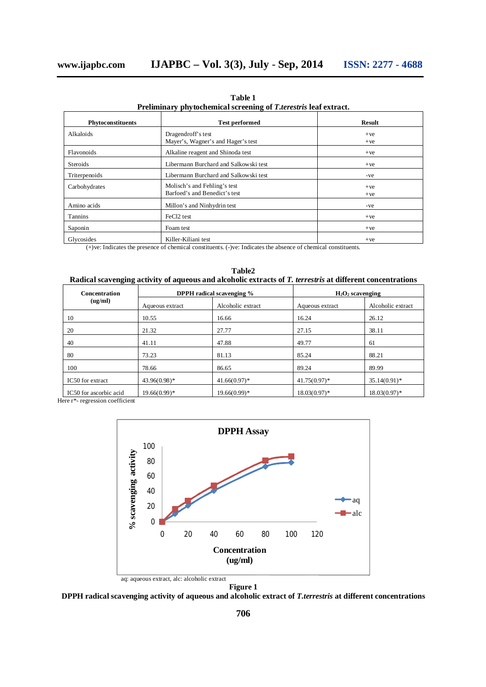| Phytoconstituents | <b>Test performed</b>                                         | Result         |
|-------------------|---------------------------------------------------------------|----------------|
| Alkaloids         | Dragendroff's test<br>Mayer's, Wagner's and Hager's test      | $+ve$<br>$+ve$ |
| Flavonoids        | Alkaline reagent and Shinoda test                             | $+ve$          |
| <b>Steroids</b>   | Libermann Burchard and Salkowski test                         | $+ve$          |
| Triterpenoids     | Libermann Burchard and Salkowski test                         | -ve            |
| Carbohydrates     | Molisch's and Fehling's test<br>Barfoed's and Benedict's test | $+ve$<br>$+ve$ |
| Amino acids       | Millon's and Ninhydrin test                                   | -ve            |
| Tannins           | FeC <sub>12</sub> test                                        | $+ve$          |
| Saponin           | Foam test                                                     | $+ve$          |
| Glycosides        | Killer-Kiliani test                                           | $+ve$          |

**Table 1 Preliminary phytochemical screening of** *T.terestris* **leaf extract.**

(+)ve: Indicates the presence of chemical constituents. (-)ve: Indicates the absence of chemical constituents.

| Table2<br>Radical scavenging activity of aqueous and alcoholic extracts of T. terrestris at different concentrations |                                  |                   |                     |                   |  |
|----------------------------------------------------------------------------------------------------------------------|----------------------------------|-------------------|---------------------|-------------------|--|
| <b>Concentration</b><br>(ug/ml)                                                                                      | <b>DPPH</b> radical scavenging % |                   | $H_2O_2$ scavenging |                   |  |
|                                                                                                                      | Aqueous extract                  | Alcoholic extract | Aqueous extract     | Alcoholic extract |  |
| 10                                                                                                                   | 10.55                            | 16.66             | 16.24               | 26.12             |  |
| 20                                                                                                                   | 21.32                            | 27.77             | 27.15               | 38.11             |  |
| 40                                                                                                                   | 41.11                            | 47.88             | 49.77               | 61                |  |
| 80                                                                                                                   | 73.23                            | 81.13             | 85.24               | 88.21             |  |
| 100                                                                                                                  | 78.66                            | 86.65             | 89.24               | 89.99             |  |
| IC50 for extract                                                                                                     | $43.96(0.98)$ *                  | $41.66(0.97)$ *   | $41.75(0.97)$ *     | $35.14(0.91)$ *   |  |
| IC50 for ascorbic acid                                                                                               | $19.66(0.99)$ *                  | $19.66(0.99)$ *   | $18.03(0.97)$ *     | $18.03(0.97)$ *   |  |

Here r\*- regression coefficient



**Figure 1**

**DPPH radical scavenging activity of aqueous and alcoholic extract of** *T.terrestris* **at different concentrations**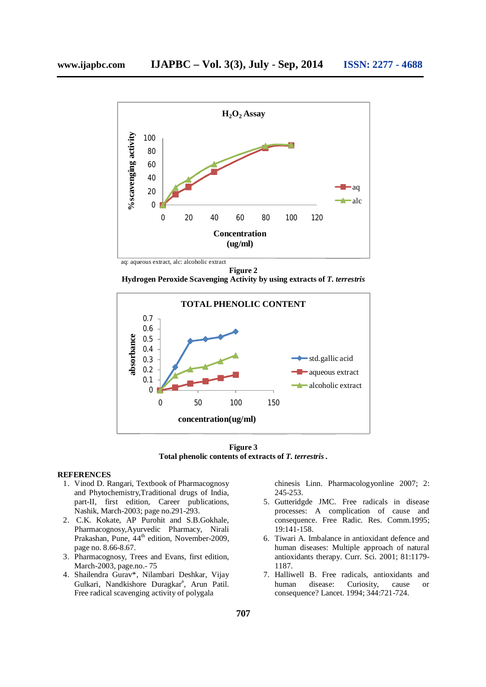

aq: aqueous extract, alc: alcoholic extract



**Hydrogen Peroxide Scavenging Activity by using extracts of** *T. terrestris*



**Figure 3 Total phenolic contents of extracts of** *T. terrestris .*

#### **REFERENCES**

- 1. Vinod D. Rangari, Textbook of Pharmacognosy and Phytochemistry,Traditional drugs of India, part-II, first edition, Career publications, Nashik, March-2003; page no.291-293.
- 2. C.K. Kokate, AP Purohit and S.B.Gokhale, Pharmacognosy,Ayurvedic Pharmacy, Nirali Prakashan, Pune, 44<sup>th</sup> edition, November-2009, page no. 8.66-8.67.
- 3. Pharmacognosy, Trees and Evans, first edition, March-2003, page.no.- 75
- 4. Shailendra Gurav\*, Nilambari Deshkar, Vijay Gulkari, Nandkishore Duragkar<sup>a</sup>, Arun Patil. Free radical scavenging activity of polygala

chinesis Linn. Pharmacologyonline 2007; 2: 245-253.

- 5. Gutteridgde JMC. Free radicals in disease processes: A complication of cause and consequence. Free Radic. Res. Comm.1995; 19:141-158.
- 6. Tiwari A. Imbalance in antioxidant defence and human diseases: Multiple approach of natural antioxidants therapy. Curr. Sci. 2001; 81:1179- 1187.
- 7. Halliwell B. Free radicals, antioxidants and human disease: Curiosity, cause or consequence? Lancet. 1994; 344:721-724.